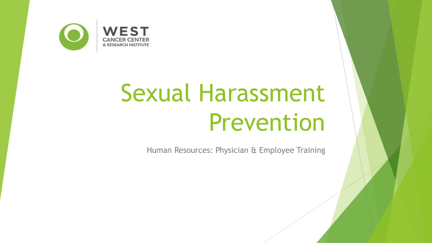

# Sexual Harassment Prevention

Human Resources: Physician & Employee Training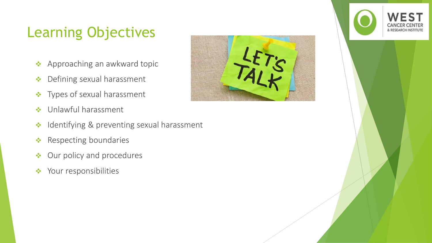## Learning Objectives

- ❖ Approaching an awkward topic
- ❖ Defining sexual harassment
- ❖ Types of sexual harassment
- ❖ Unlawful harassment
- ❖ Identifying & preventing sexual harassment
- ❖ Respecting boundaries
- ❖ Our policy and procedures
- ❖ Your responsibilities



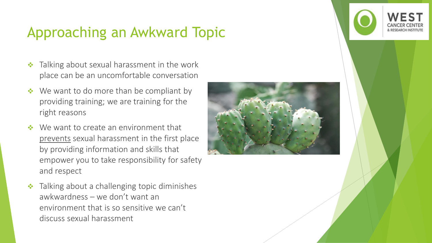### Approaching an Awkward Topic

- Talking about sexual harassment in the work place can be an uncomfortable conversation
- We want to do more than be compliant by providing training; we are training for the right reasons
- We want to create an environment that prevents sexual harassment in the first place by providing information and skills that empower you to take responsibility for safety and respect
- ❖ Talking about a challenging topic diminishes awkwardness – we don't want an environment that is so sensitive we can't discuss sexual harassment



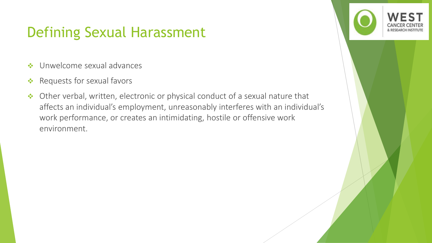### Defining Sexual Harassment

- ❖ Unwelcome sexual advances
- ❖ Requests for sexual favors
- ❖ Other verbal, written, electronic or physical conduct of a sexual nature that affects an individual's employment, unreasonably interferes with an individual's work performance, or creates an intimidating, hostile or offensive work environment.

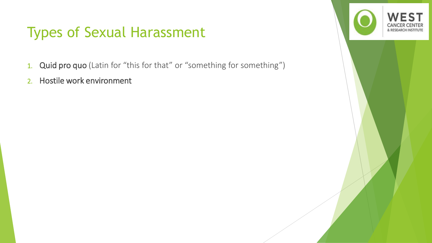### Types of Sexual Harassment

- 1. Quid pro quo (Latin for "this for that" or "something for something")
- 2. Hostile work environment

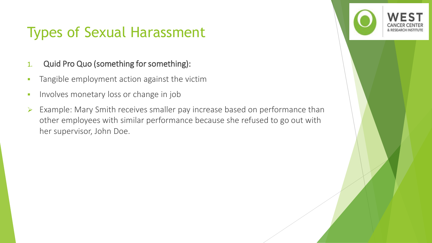### Types of Sexual Harassment

#### 1. Quid Pro Quo (something for something):

- **•** Tangible employment action against the victim
- **·** Involves monetary loss or change in job
- ➢ Example: Mary Smith receives smaller pay increase based on performance than other employees with similar performance because she refused to go out with her supervisor, John Doe.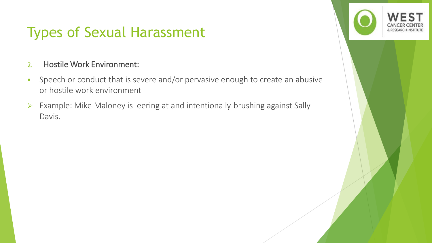### Types of Sexual Harassment

#### 2. Hostile Work Environment:

- **•** Speech or conduct that is severe and/or pervasive enough to create an abusive or hostile work environment
- ➢ Example: Mike Maloney is leering at and intentionally brushing against Sally Davis.

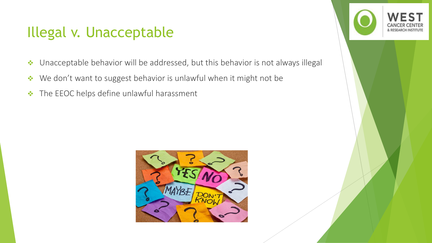### Illegal v. Unacceptable

- ❖ Unacceptable behavior will be addressed, but this behavior is not always illegal
- ❖ We don't want to suggest behavior is unlawful when it might not be
- ❖ The EEOC helps define unlawful harassment



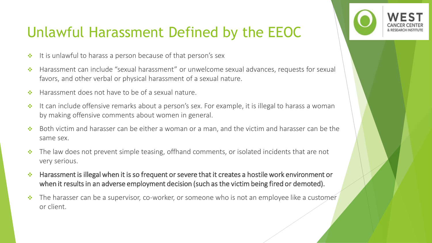### Unlawful Harassment Defined by the EEOC

- ❖ It is unlawful to harass a person because of that person's sex
- ❖ Harassment can include "sexual harassment" or unwelcome sexual advances, requests for sexual favors, and other verbal or physical harassment of a sexual nature.
- ❖ Harassment does not have to be of a sexual nature.
- ❖ It can include offensive remarks about a person's sex. For example, it is illegal to harass a woman by making offensive comments about women in general.
- ❖ Both victim and harasser can be either a woman or a man, and the victim and harasser can be the same sex.
- ❖ The law does not prevent simple teasing, offhand comments, or isolated incidents that are not very serious.
- ❖ Harassment is illegal when it is so frequent or severe that it creates a hostile work environment or when it results in an adverse employment decision (such as the victim being fired or demoted).
- ❖ The harasser can be a supervisor, co-worker, or someone who is not an employee like a customer or client.

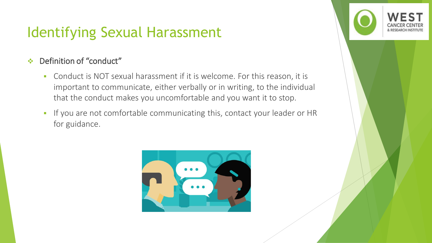#### ❖ Definition of "conduct"

- Conduct is NOT sexual harassment if it is welcome. For this reason, it is important to communicate, either verbally or in writing, to the individual that the conduct makes you uncomfortable and you want it to stop.
- **·** If you are not comfortable communicating this, contact your leader or HR for guidance.



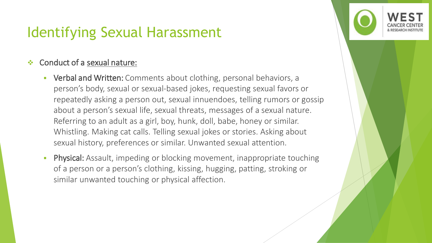#### Conduct of a sexual nature:

- Verbal and Written: Comments about clothing, personal behaviors, a person's body, sexual or sexual-based jokes, requesting sexual favors or repeatedly asking a person out, sexual innuendoes, telling rumors or gossip about a person's sexual life, sexual threats, messages of a sexual nature. Referring to an adult as a girl, boy, hunk, doll, babe, honey or similar. Whistling. Making cat calls. Telling sexual jokes or stories. Asking about sexual history, preferences or similar. Unwanted sexual attention.
- **Physical:** Assault, impeding or blocking movement, inappropriate touching of a person or a person's clothing, kissing, hugging, patting, stroking or similar unwanted touching or physical affection.

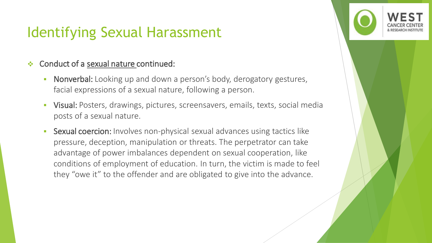#### Conduct of a sexual nature continued:

- **Nonverbal:** Looking up and down a person's body, derogatory gestures, facial expressions of a sexual nature, following a person.
- **Visual:** Posters, drawings, pictures, screensavers, emails, texts, social media posts of a sexual nature.
- **EXXUA COEF 2018:** Involves non-physical sexual advances using tactics like pressure, deception, manipulation or threats. The perpetrator can take advantage of power imbalances dependent on sexual cooperation, like conditions of employment of education. In turn, the victim is made to feel they "owe it" to the offender and are obligated to give into the advance.

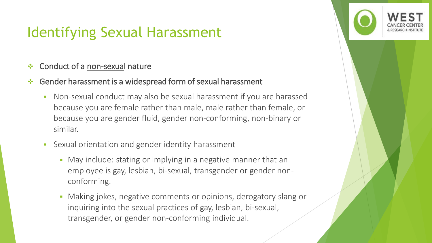- ❖ Conduct of a non-sexual nature
- Gender harassment is a widespread form of sexual harassment
	- **Non-sexual conduct may also be sexual harassment if you are harassed** because you are female rather than male, male rather than female, or because you are gender fluid, gender non-conforming, non-binary or similar.
	- Sexual orientation and gender identity harassment
		- May include: stating or implying in a negative manner that an employee is gay, lesbian, bi-sexual, transgender or gender nonconforming.
		- **Making jokes, negative comments or opinions, derogatory slang or** inquiring into the sexual practices of gay, lesbian, bi-sexual, transgender, or gender non-conforming individual.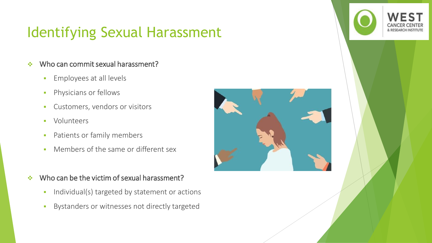#### ❖ Who can commit sexual harassment?

- **Employees at all levels**
- **·** Physicians or fellows
- Customers, vendors or visitors
- Volunteers
- **•** Patients or family members
- **Members of the same or different sex**
- ❖ Who can be the victim of sexual harassment?
	- **·** Individual(s) targeted by statement or actions
	- **·** Bystanders or witnesses not directly targeted



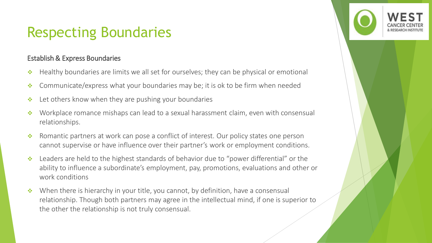### Respecting Boundaries

#### Establish & Express Boundaries

- ❖ Healthy boundaries are limits we all set for ourselves; they can be physical or emotional
- ❖ Communicate/express what your boundaries may be; it is ok to be firm when needed
- ❖ Let others know when they are pushing your boundaries
- ❖ Workplace romance mishaps can lead to a sexual harassment claim, even with consensual relationships.
- ❖ Romantic partners at work can pose a conflict of interest. Our policy states one person cannot supervise or have influence over their partner's work or employment conditions.
- ❖ Leaders are held to the highest standards of behavior due to "power differential" or the ability to influence a subordinate's employment, pay, promotions, evaluations and other or work conditions
- ❖ When there is hierarchy in your title, you cannot, by definition, have a consensual relationship. Though both partners may agree in the intellectual mind, if one is superior to the other the relationship is not truly consensual.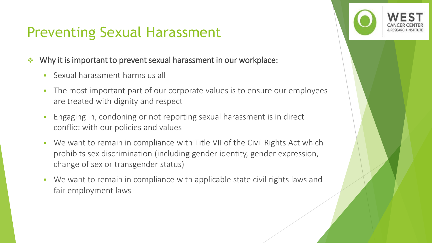## Preventing Sexual Harassment

- ❖ Why it is important to prevent sexual harassment in our workplace:
	- **EXALLER** Sexual harassment harms us all
	- The most important part of our corporate values is to ensure our employees are treated with dignity and respect
	- **Engaging in, condoning or not reporting sexual harassment is in direct** conflict with our policies and values
	- We want to remain in compliance with Title VII of the Civil Rights Act which prohibits sex discrimination (including gender identity, gender expression, change of sex or transgender status)
	- We want to remain in compliance with applicable state civil rights laws and fair employment laws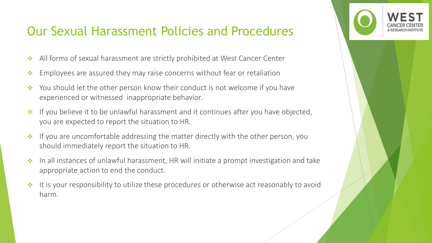### Our Sexual Harassment Policies and Procedures

- ❖ All forms of sexual harassment are strictly prohibited at West Cancer Center
- ❖ Employees are assured they may raise concerns without fear or retaliation
- ❖ You should let the other person know their conduct is not welcome if you have experienced or witnessed inappropriate behavior.
- ❖ If you believe it to be unlawful harassment and it continues after you have objected, you are expected to report the situation to HR.
- ❖ If you are uncomfortable addressing the matter directly with the other person, you should immediately report the situation to HR.
- ❖ In all instances of unlawful harassment, HR will initiate a prompt investigation and take appropriate action to end the conduct.
- ❖ It is your responsibility to utilize these procedures or otherwise act reasonably to avoid harm.

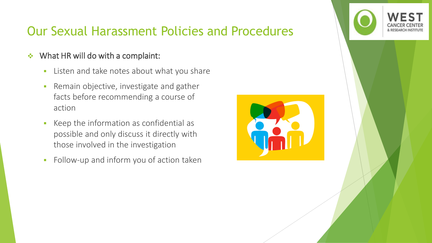### Our Sexual Harassment Policies and Procedures

- ❖ What HR will do with a complaint:
	- **EXEC** Listen and take notes about what you share
	- **Remain objective, investigate and gather** facts before recommending a course of action
	- Keep the information as confidential as possible and only discuss it directly with those involved in the investigation
	- **•** Follow-up and inform you of action taken



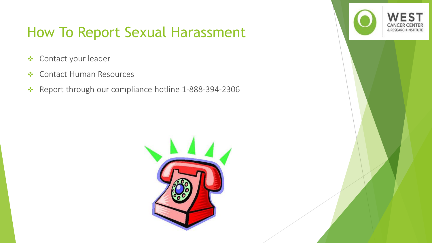### How To Report Sexual Harassment

- ❖ Contact your leader
- ❖ Contact Human Resources
- ❖ Report through our compliance hotline 1-888-394-2306



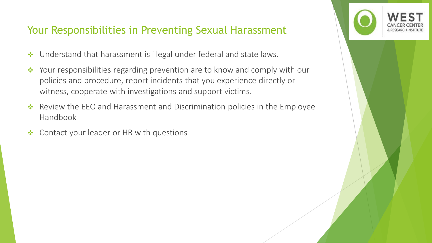### Your Responsibilities in Preventing Sexual Harassment

- ❖ Understand that harassment is illegal under federal and state laws.
- ❖ Your responsibilities regarding prevention are to know and comply with our policies and procedure, report incidents that you experience directly or witness, cooperate with investigations and support victims.
- ❖ Review the EEO and Harassment and Discrimination policies in the Employee Handbook
- ❖ Contact your leader or HR with questions

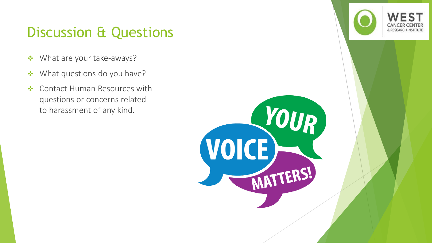### Discussion & Questions

- ❖ What are your take-aways?
- ❖ What questions do you have?
- ❖ Contact Human Resources with questions or concerns related to harassment of any kind.